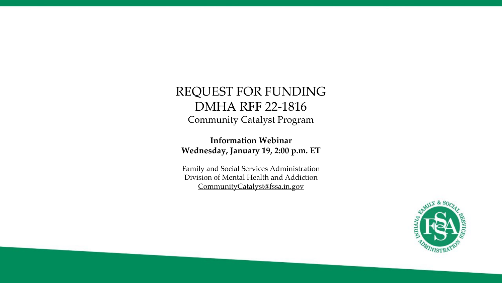### REQUEST FOR FUNDING DMHA RFF 22-1816 Community Catalyst Program

**Information Webinar Wednesday, January 19, 2:00 p.m. ET**

Family and Social Services Administration Division of Mental Health and Addiction [CommunityCatalyst@fssa.in.gov](mailto:CommunityCatalyst@fssa.in.gov)

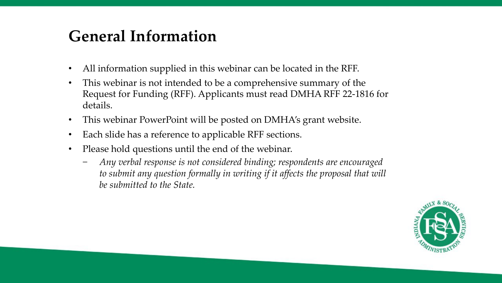## **General Information**

- All information supplied in this webinar can be located in the RFF.
- This webinar is not intended to be a comprehensive summary of the Request for Funding (RFF). Applicants must read DMHA RFF 22-1816 for details.
- This webinar PowerPoint will be posted on DMHA's grant website.
- Each slide has a reference to applicable RFF sections.
- Please hold questions until the end of the webinar.
	- − *Any verbal response is not considered binding; respondents are encouraged*  to submit any question formally in writing if it affects the proposal that will *be submitted to the State.*

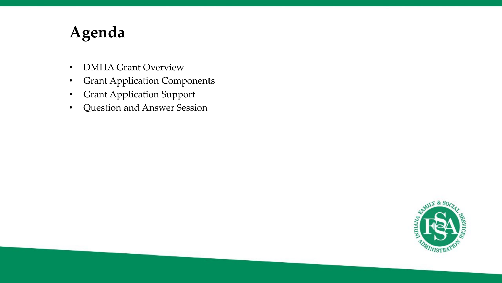## **Agenda**

- DMHA Grant Overview
- Grant Application Components
- Grant Application Support
- Question and Answer Session

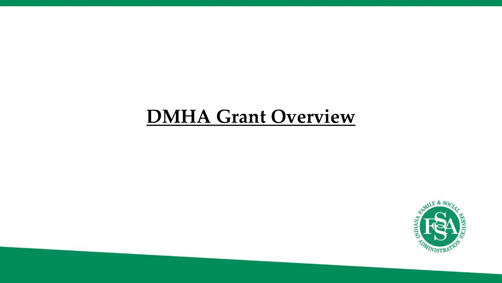# **DMHA Grant Overview**

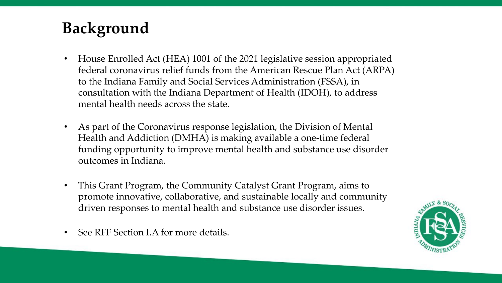# **Background**

- House Enrolled Act (HEA) 1001 of the 2021 legislative session appropriated federal coronavirus relief funds from the American Rescue Plan Act (ARPA) to the Indiana Family and Social Services Administration (FSSA), in consultation with the Indiana Department of Health (IDOH), to address mental health needs across the state.
- As part of the Coronavirus response legislation, the Division of Mental Health and Addiction (DMHA) is making available a one-time federal funding opportunity to improve mental health and substance use disorder outcomes in Indiana.
- This Grant Program, the Community Catalyst Grant Program, aims to promote innovative, collaborative, and sustainable locally and community driven responses to mental health and substance use disorder issues.
- See RFF Section I.A for more details.

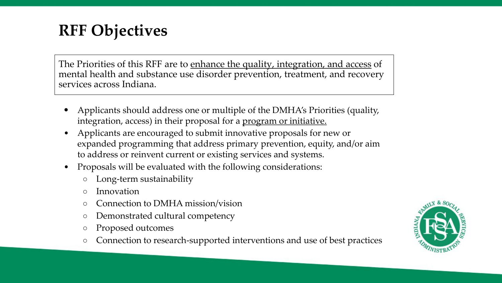## **RFF Objectives**

The Priorities of this RFF are to enhance the quality, integration, and access of mental health and substance use disorder prevention, treatment, and recovery services across Indiana.

- Applicants should address one or multiple of the DMHA's Priorities (quality, integration, access) in their proposal for a program or initiative.
- Applicants are encouraged to submit innovative proposals for new or expanded programming that address primary prevention, equity, and/or aim to address or reinvent current or existing services and systems.
- Proposals will be evaluated with the following considerations:
	- Long-term sustainability
	- Innovation
	- Connection to DMHA mission/vision
	- Demonstrated cultural competency
	- Proposed outcomes
	- Connection to research-supported interventions and use of best practices

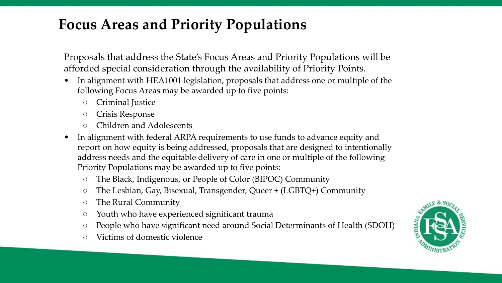### **Focus Areas and Priority Populations**

Proposals that address the State's Focus Areas and Priority Populations will be afforded special consideration through the availability of Priority Points.

- In alignment with HEA1001 legislation, proposals that address one or multiple of the following Focus Areas may be awarded up to five points:
	- Criminal Justice
	- Crisis Response
	- Children and Adolescents
- In alignment with federal ARPA requirements to use funds to advance equity and report on how equity is being addressed, proposals that are designed to intentionally address needs and the equitable delivery of care in one or multiple of the following Priority Populations may be awarded up to five points:
	- The Black, Indigenous, or People of Color (BIPOC) Community
	- The Lesbian, Gay, Bisexual, Transgender, Queer + (LGBTQ+) Community
	- The Rural Community
	- Youth who have experienced significant trauma
	- People who have significant need around Social Determinants of Health (SDOH)
	- Victims of domestic violence

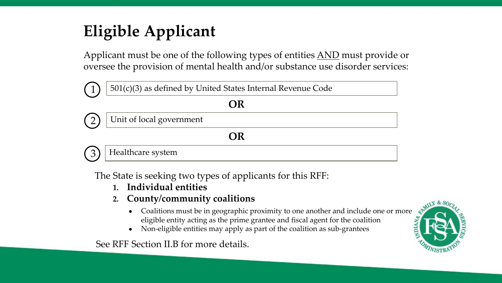# **Eligible Applicant**

Applicant must be one of the following types of entities AND must provide or oversee the provision of mental health and/or substance use disorder services:



The State is seeking two types of applicants for this RFF:

- **1. Individual entities**
- **2. County/community coalitions** 
	- Coalitions must be in geographic proximity to one another and include one or more eligible entity acting as the prime grantee and fiscal agent for the coalition
	- Non-eligible entities may apply as part of the coalition as sub-grantees

See RFF Section II.B for more details.

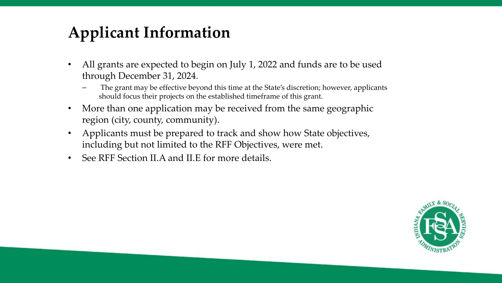# **Applicant Information**

- All grants are expected to begin on July 1, 2022 and funds are to be used through December 31, 2024.
	- The grant may be effective beyond this time at the State's discretion; however, applicants should focus their projects on the established timeframe of this grant.
- More than one application may be received from the same geographic region (city, county, community).
- Applicants must be prepared to track and show how State objectives, including but not limited to the RFF Objectives, were met.
- See RFF Section II.A and II.E for more details.

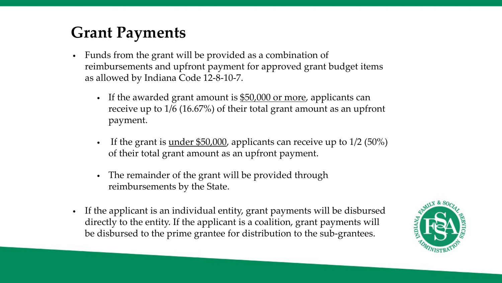## **Grant Payments**

- Funds from the grant will be provided as a combination of reimbursements and upfront payment for approved grant budget items as allowed by Indiana Code 12-8-10-7.
	- If the awarded grant amount is \$50,000 or more, applicants can receive up to 1/6 (16.67%) of their total grant amount as an upfront payment.
	- If the grant is <u>under \$50,000</u>, applicants can receive up to  $1/2$  (50%) of their total grant amount as an upfront payment.
	- The remainder of the grant will be provided through reimbursements by the State.
- If the applicant is an individual entity, grant payments will be disbursed directly to the entity. If the applicant is a coalition, grant payments will be disbursed to the prime grantee for distribution to the sub-grantees.

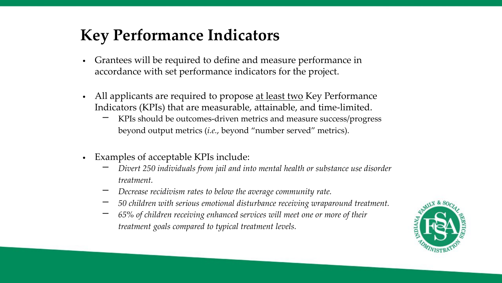## **Key Performance Indicators**

- Grantees will be required to define and measure performance in accordance with set performance indicators for the project.
- All applicants are required to propose at least two Key Performance Indicators (KPIs) that are measurable, attainable, and time-limited.
	- KPIs should be outcomes-driven metrics and measure success/progress beyond output metrics (*i.e.*, beyond "number served" metrics).
- Examples of acceptable KPIs include:
	- − *Divert 250 individuals from jail and into mental health or substance use disorder treatment.*
	- − *Decrease recidivism rates to below the average community rate.*
	- − *50 children with serious emotional disturbance receiving wraparound treatment.*
	- − *65% of children receiving enhanced services will meet one or more of their treatment goals compared to typical treatment levels.*

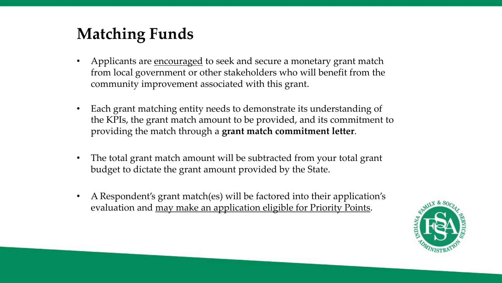# **Matching Funds**

- Applicants are <u>encouraged</u> to seek and secure a monetary grant match from local government or other stakeholders who will benefit from the community improvement associated with this grant.
- Each grant matching entity needs to demonstrate its understanding of the KPIs, the grant match amount to be provided, and its commitment to providing the match through a **grant match commitment letter**.
- The total grant match amount will be subtracted from your total grant budget to dictate the grant amount provided by the State.
- A Respondent's grant match(es) will be factored into their application's evaluation and may make an application eligible for Priority Points.

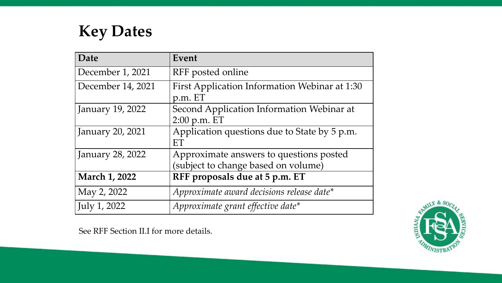**Key Dates**

| Date                 | Event                                                                          |  |
|----------------------|--------------------------------------------------------------------------------|--|
| December 1, 2021     | RFF posted online                                                              |  |
| December 14, 2021    | First Application Information Webinar at 1:30<br>p.m. ET                       |  |
| January 19, 2022     | Second Application Information Webinar at<br>$2:00$ p.m. ET                    |  |
| January 20, 2021     | Application questions due to State by 5 p.m.<br>ET                             |  |
| January 28, 2022     | Approximate answers to questions posted<br>(subject to change based on volume) |  |
| <b>March 1, 2022</b> | RFF proposals due at 5 p.m. ET                                                 |  |
| May 2, 2022          | Approximate award decisions release date*                                      |  |
| July 1, 2022         | Approximate grant effective date*                                              |  |

See RFF Section II.I for more details.

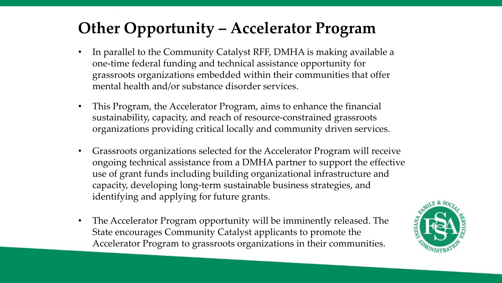# **Other Opportunity – Accelerator Program**

- In parallel to the Community Catalyst RFF, DMHA is making available a one-time federal funding and technical assistance opportunity for grassroots organizations embedded within their communities that offer mental health and/or substance disorder services.
- This Program, the Accelerator Program, aims to enhance the financial sustainability, capacity, and reach of resource-constrained grassroots organizations providing critical locally and community driven services.
- Grassroots organizations selected for the Accelerator Program will receive ongoing technical assistance from a DMHA partner to support the effective use of grant funds including building organizational infrastructure and capacity, developing long-term sustainable business strategies, and identifying and applying for future grants.
- The Accelerator Program opportunity will be imminently released. The State encourages Community Catalyst applicants to promote the Accelerator Program to grassroots organizations in their communities.

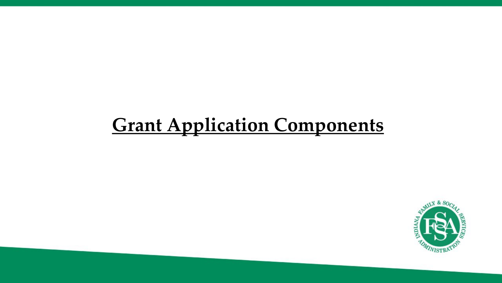# **Grant Application Components**

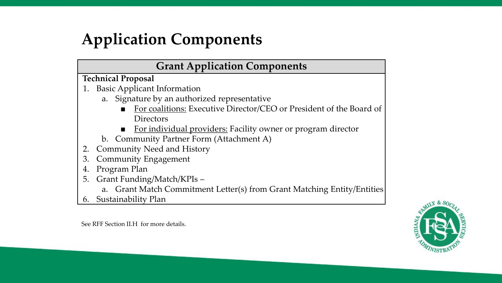# **Application Components**

### **Grant Application Components**

#### **Technical Proposal**

- 1. Basic Applicant Information
	- a. Signature by an authorized representative
		- For coalitions: Executive Director/CEO or President of the Board of Directors
		- **For individual providers: Facility owner or program director**
	- b. Community Partner Form (Attachment A)
- 2. Community Need and History
- 3. Community Engagement
- 4. Program Plan
- 5. Grant Funding/Match/KPIs
	- a. Grant Match Commitment Letter(s) from Grant Matching Entity/Entities
- 6. Sustainability Plan

See RFF Section II.H for more details.

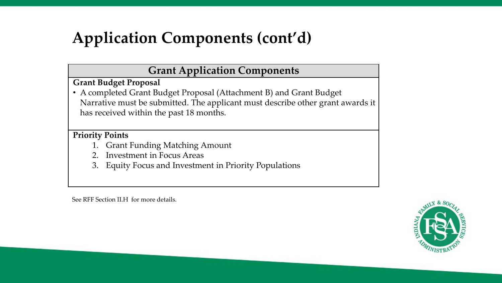# **Application Components (cont'd)**

### **Grant Application Components**

**Grant Budget Proposal**

• A completed Grant Budget Proposal (Attachment B) and Grant Budget Narrative must be submitted. The applicant must describe other grant awards it has received within the past 18 months.

**Priority Points**

- 1. Grant Funding Matching Amount
- 2. Investment in Focus Areas
- 3. Equity Focus and Investment in Priority Populations

See RFF Section II.H for more details.

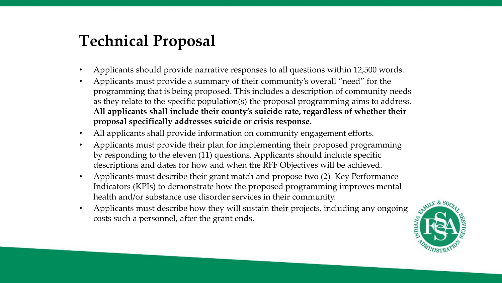## **Technical Proposal**

- Applicants should provide narrative responses to all questions within 12,500 words.
- Applicants must provide a summary of their community's overall "need" for the programming that is being proposed. This includes a description of community needs as they relate to the specific population(s) the proposal programming aims to address. **All applicants shall include their county's suicide rate, regardless of whether their proposal specifically addresses suicide or crisis response.**
- All applicants shall provide information on community engagement efforts.
- Applicants must provide their plan for implementing their proposed programming by responding to the eleven (11) questions. Applicants should include specific descriptions and dates for how and when the RFF Objectives will be achieved.
- Applicants must describe their grant match and propose two (2) Key Performance Indicators (KPIs) to demonstrate how the proposed programming improves mental health and/or substance use disorder services in their community.
- Applicants must describe how they will sustain their projects, including any ongoing costs such a personnel, after the grant ends.

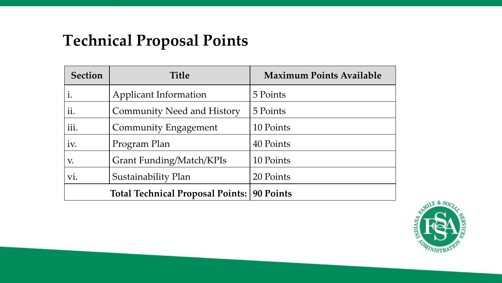# **Technical Proposal Points**

| <b>Section</b> | <b>Title</b>                            | <b>Maximum Points Available</b> |
|----------------|-----------------------------------------|---------------------------------|
| $\dot{1}$ .    | Applicant Information                   | 5 Points                        |
| ii.            | <b>Community Need and History</b>       | 5 Points                        |
| iii.           | Community Engagement                    | 10 Points                       |
| iv.            | Program Plan                            | 40 Points                       |
| V.             | Grant Funding/Match/KPIs                | 10 Points                       |
| Vİ.            | Sustainability Plan                     | 20 Points                       |
|                | <b>Total Technical Proposal Points:</b> | 90 Points                       |

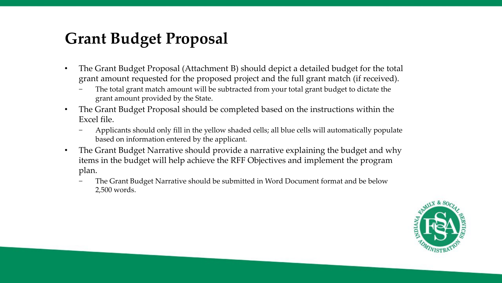## **Grant Budget Proposal**

- The Grant Budget Proposal (Attachment B) should depict a detailed budget for the total grant amount requested for the proposed project and the full grant match (if received).
	- The total grant match amount will be subtracted from your total grant budget to dictate the grant amount provided by the State.
- The Grant Budget Proposal should be completed based on the instructions within the Excel file.
	- − Applicants should only fill in the yellow shaded cells; all blue cells will automatically populate based on information entered by the applicant.
- The Grant Budget Narrative should provide a narrative explaining the budget and why items in the budget will help achieve the RFF Objectives and implement the program plan.
	- The Grant Budget Narrative should be submitted in Word Document format and be below 2,500 words.

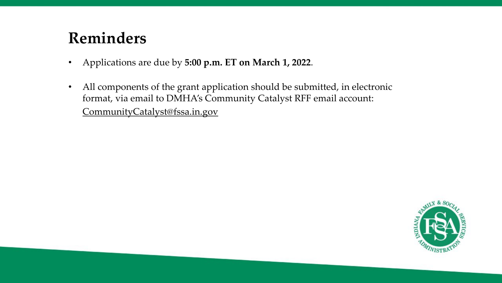## **Reminders**

- Applications are due by **5:00 p.m. ET on March 1, 2022**.
- All components of the grant application should be submitted, in electronic format, via email to DMHA's Community Catalyst RFF email account: CommunityCatalyst@fssa.in.gov

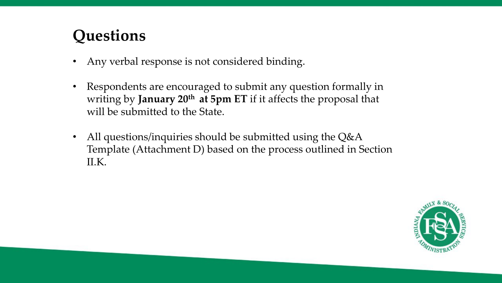## **Questions**

- Any verbal response is not considered binding.
- Respondents are encouraged to submit any question formally in writing by **January 20th at 5pm ET** if it affects the proposal that will be submitted to the State.
- All questions/inquiries should be submitted using the Q&A Template (Attachment D) based on the process outlined in Section II.K.